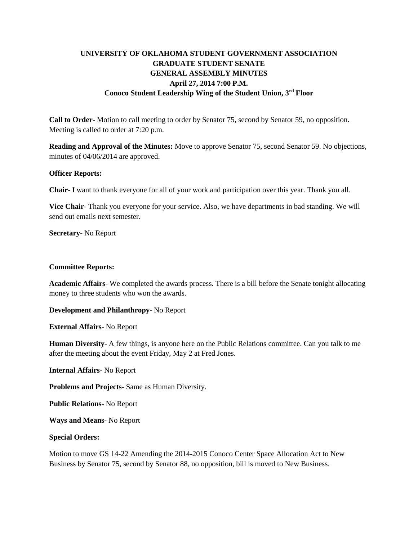# **UNIVERSITY OF OKLAHOMA STUDENT GOVERNMENT ASSOCIATION GRADUATE STUDENT SENATE GENERAL ASSEMBLY MINUTES April 27, 2014 7:00 P.M. Conoco Student Leadership Wing of the Student Union, 3rd Floor**

**Call to Order**- Motion to call meeting to order by Senator 75, second by Senator 59, no opposition. Meeting is called to order at 7:20 p.m.

**Reading and Approval of the Minutes:** Move to approve Senator 75, second Senator 59. No objections, minutes of 04/06/2014 are approved.

#### **Officer Reports:**

**Chair**- I want to thank everyone for all of your work and participation over this year. Thank you all.

**Vice Chair**- Thank you everyone for your service. Also, we have departments in bad standing. We will send out emails next semester.

**Secretary**- No Report

#### **Committee Reports:**

**Academic Affairs**- We completed the awards process. There is a bill before the Senate tonight allocating money to three students who won the awards.

**Development and Philanthropy**- No Report

**External Affairs**- No Report

**Human Diversity**- A few things, is anyone here on the Public Relations committee. Can you talk to me after the meeting about the event Friday, May 2 at Fred Jones.

**Internal Affairs**- No Report

**Problems and Projects**- Same as Human Diversity.

**Public Relations**- No Report

**Ways and Means**- No Report

# **Special Orders:**

Motion to move GS 14-22 Amending the 2014-2015 Conoco Center Space Allocation Act to New Business by Senator 75, second by Senator 88, no opposition, bill is moved to New Business.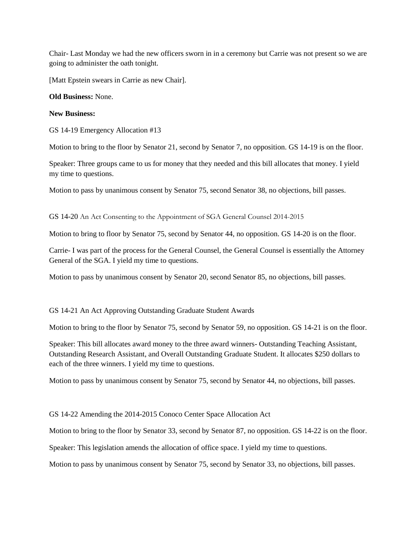Chair- Last Monday we had the new officers sworn in in a ceremony but Carrie was not present so we are going to administer the oath tonight.

[Matt Epstein swears in Carrie as new Chair].

#### **Old Business:** None.

#### **New Business:**

GS 14-19 Emergency Allocation #13

Motion to bring to the floor by Senator 21, second by Senator 7, no opposition. GS 14-19 is on the floor.

Speaker: Three groups came to us for money that they needed and this bill allocates that money. I yield my time to questions.

Motion to pass by unanimous consent by Senator 75, second Senator 38, no objections, bill passes.

GS 14-20 An Act Consenting to the Appointment of SGA General Counsel 2014-2015

Motion to bring to floor by Senator 75, second by Senator 44, no opposition. GS 14-20 is on the floor.

Carrie- I was part of the process for the General Counsel, the General Counsel is essentially the Attorney General of the SGA. I yield my time to questions.

Motion to pass by unanimous consent by Senator 20, second Senator 85, no objections, bill passes.

# GS 14-21 An Act Approving Outstanding Graduate Student Awards

Motion to bring to the floor by Senator 75, second by Senator 59, no opposition. GS 14-21 is on the floor.

Speaker: This bill allocates award money to the three award winners- Outstanding Teaching Assistant, Outstanding Research Assistant, and Overall Outstanding Graduate Student. It allocates \$250 dollars to each of the three winners. I yield my time to questions.

Motion to pass by unanimous consent by Senator 75, second by Senator 44, no objections, bill passes.

# GS 14-22 Amending the 2014-2015 Conoco Center Space Allocation Act

Motion to bring to the floor by Senator 33, second by Senator 87, no opposition. GS 14-22 is on the floor.

Speaker: This legislation amends the allocation of office space. I yield my time to questions.

Motion to pass by unanimous consent by Senator 75, second by Senator 33, no objections, bill passes.